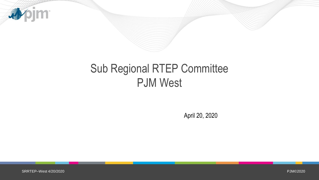

## Sub Regional RTEP Committee PJM West

April 20, 2020

SRRTEP–West 4/20/2020

PJM©2020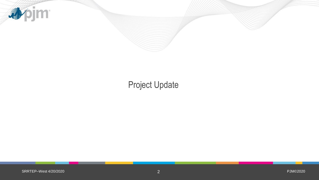

### Project Update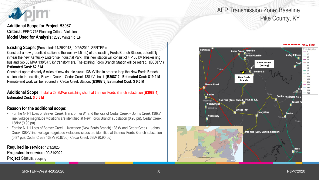

#### **Additional Scope for Project B3087**

**Criteria:** FERC 715 Planning Criteria Violation **Model Used for Analysis:** 2023 Winter RTEP

#### **Existing Scope: (**Presented: 11/29/2018, 10/25/2019 SRRTEP**):**

Construct a new greenfield station to the west (~1.5 mi.) of the existing Fords Branch Station, potentially in/near the new Kentucky Enterprise Industrial Park. This new station will consist of 4 -138 kV breaker ring bus and two 30 MVA 138/34.5 kV transformers. The existing Fords Branch Station will be retired. (**B3087.1**) **Estimated Cost: \$2.8 M**

Construct approximately 5 miles of new double circuit 138 kV line in order to loop the New Fords Branch station into the existing Beaver Creek – Cedar Creek 138 kV circuit. (**B3087.2**) **Estimated Cost: \$19.9 M** Remote end work will be required at Cedar Creek Station. (**B3087.3**) **Estimated Cost: \$ 0.5 M**

**Additional Scope:** Install a 28.8MVar switching shunt at the new Fords Branch substation (**B3087.4**) **Estimated Cost: \$ 0.5 M**

#### **Reason for the additional scope:**

- For the N-1-1 Loss of Beaver Creek Transformer #1 and the loss of Cedar Creek Johns Creek 138kV line, voltage magnitude violations are identified at New Fords Branch substation (0.90 pu), Cedar Creek 138kV (0.90 pu).
- For the N-1-1 Loss of Beaver Creek Kewanee (New Fords Branch) 138kV and Cedar Creek Johns Creek 138kV line, voltage magnitude violations issues are identified at the new Fords Branch substation (0.87 pu), Cedar Creek 138kV (0.87pu), Cedar Creek 69kV (0.90 pu).

**Required In-service:** 12/1/2023 **Projected In-service:** 09/31/2022 **Project Status**: Scoping



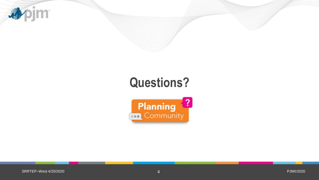

# **Questions?**